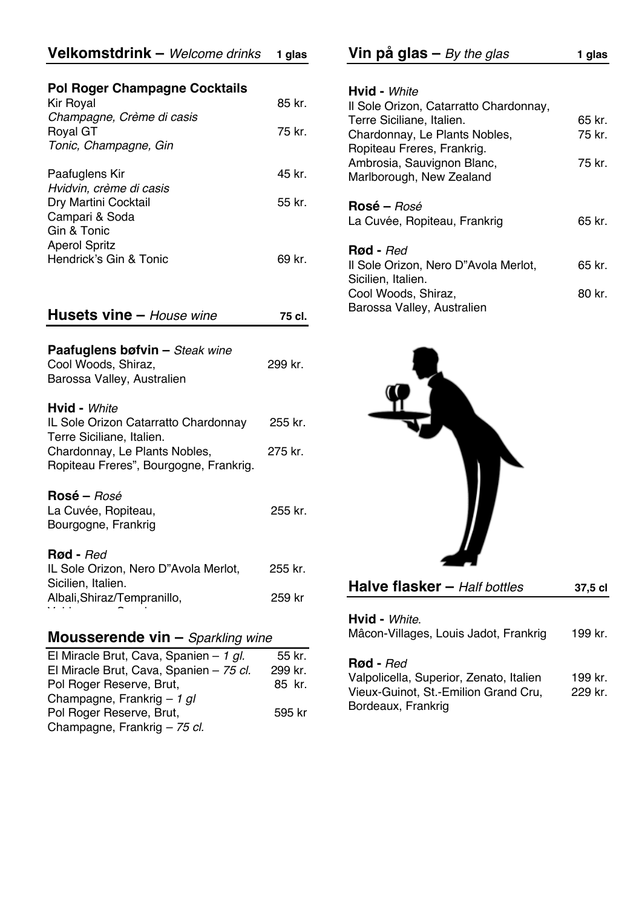### **Pol Roger Champagne Cocktails**

| <b>Kir Royal</b>                                                                 | 85 kr. |
|----------------------------------------------------------------------------------|--------|
| Champagne, Crème di casis<br><b>Royal GT</b><br>Tonic, Champagne, Gin            | 75 kr. |
| Paafuglens Kir                                                                   | 45 kr. |
| Hvidvin, crème di casis<br>Dry Martini Cocktail<br>Campari & Soda<br>Gin & Tonic | 55 kr. |
| <b>Aperol Spritz</b><br>Hendrick's Gin & Tonic                                   | 69 kr. |

| <b>Husets vine - House wine</b>                                                            | 75 cl.  |  |
|--------------------------------------------------------------------------------------------|---------|--|
| <b>Paafuglens bøfvin – Steak wine</b><br>Cool Woods, Shiraz,<br>Barossa Valley, Australien | 299 kr. |  |
| <b>Hyid - White</b>                                                                        |         |  |
| IL Sole Orizon Catarratto Chardonnay<br>Terre Siciliane, Italien.                          | 255 kr. |  |
| Chardonnay, Le Plants Nobles,                                                              | 275 kr. |  |

| $O(nqq)$ and $q$ , Ly indicated in $O(nq)$ , | <u>_</u> ___ |
|----------------------------------------------|--------------|
| Ropiteau Freres", Bourgogne, Frankrig.       |              |
|                                              |              |

#### **Rosé –** *Rosé* La Cuvée, Ropiteau, 255 kr. Bourgogne, Frankrig

#### **Rød -** *Red*

| IL Sole Orizon, Nero D"Avola Merlot, | 255 kr. |
|--------------------------------------|---------|
| Sicilien, Italien.                   |         |
| Albali, Shiraz/Tempranillo,          | 259 kr  |
|                                      |         |

# **Mousserende vin –** *Sparkling wine*

| El Miracle Brut, Cava, Spanien - 1 gl.  | 55 kr.  |
|-----------------------------------------|---------|
| El Miracle Brut, Cava, Spanien - 75 cl. | 299 kr. |
| Pol Roger Reserve, Brut,                | 85 kr.  |
| Champagne, Frankrig $-1$ gl             |         |
| Pol Roger Reserve, Brut,                | 595 kr  |
| Champagne, Frankrig - 75 cl.            |         |

|  | <b>Vin på glas –</b> By the glas | 1 glas |
|--|----------------------------------|--------|
|  |                                  |        |

| 65 kr. |
|--------|
| 75 kr. |
|        |
| 75 kr. |
|        |
|        |
|        |
| 65 kr. |
|        |
|        |
| 65 kr. |
|        |
| 80 kr. |
|        |
|        |



| <b>Halve flasker</b> - Half bottles                                                                                       | 37,5 cl            |
|---------------------------------------------------------------------------------------------------------------------------|--------------------|
| Hvid - White.<br>Mâcon-Villages, Louis Jadot, Frankrig                                                                    | 199 kr.            |
| <b>Rød</b> - Red<br>Valpolicella, Superior, Zenato, Italien<br>Vieux-Guinot, St.-Emilion Grand Cru,<br>Bordeaux, Frankrig | 199 kr.<br>229 kr. |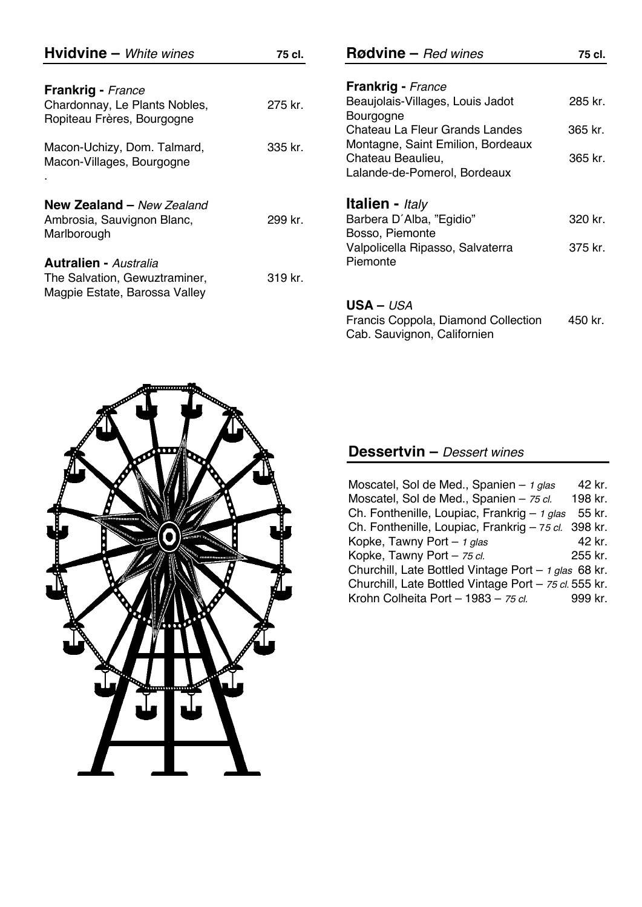| <b>Hvidvine</b> - White wines                                  | 75 cl.  | $\text{Rodvine}$ – Red wines                                                           | 75 cl.  |
|----------------------------------------------------------------|---------|----------------------------------------------------------------------------------------|---------|
| Frankrig - France                                              |         | <b>Frankrig</b> - France                                                               |         |
| Chardonnay, Le Plants Nobles,<br>Ropiteau Frères, Bourgogne    | 275 kr. | Beaujolais-Villages, Louis Jadot<br>Bourgogne                                          | 285 kr. |
|                                                                |         | Chateau La Fleur Grands Landes                                                         | 365 kr. |
| Macon-Uchizy, Dom. Talmard,<br>Macon-Villages, Bourgogne       | 335 kr. | Montagne, Saint Emilion, Bordeaux<br>Chateau Beaulieu,<br>Lalande-de-Pomerol, Bordeaux | 365 kr. |
| <b>New Zealand - New Zealand</b>                               |         | <b>Italien</b> - Italy                                                                 |         |
| Ambrosia, Sauvignon Blanc,<br>Marlborough                      | 299 kr. | Barbera D'Alba, "Egidio"<br>Bosso, Piemonte                                            | 320 kr. |
|                                                                |         | Valpolicella Ripasso, Salvaterra                                                       | 375 kr. |
| <b>Autralien - Australia</b>                                   |         | Piemonte                                                                               |         |
| The Salvation, Gewuztraminer,<br>Magpie Estate, Barossa Valley | 319 kr. |                                                                                        |         |
|                                                                |         | $USA – USA$                                                                            |         |
|                                                                |         | Francis Coppola, Diamond Collection<br>Cab. Sauvignon, Californien                     | 450 kr. |



## **Dessertvin –** *Dessert wines*

| Moscatel, Sol de Med., Spanien $-$ 1 glas             | 42 kr.  |  |
|-------------------------------------------------------|---------|--|
| Moscatel, Sol de Med., Spanien - 75 cl.               | 198 kr. |  |
| Ch. Fonthenille, Loupiac, Frankrig - 1 glas           | 55 kr.  |  |
| Ch. Fonthenille, Loupiac, Frankrig - 75 cl. 398 kr.   |         |  |
| Kopke, Tawny Port - 1 glas                            | 42 kr.  |  |
| Kopke, Tawny Port - 75 cl.                            | 255 kr. |  |
| Churchill, Late Bottled Vintage Port - 1 glas 68 kr.  |         |  |
| Churchill, Late Bottled Vintage Port - 75 cl. 555 kr. |         |  |
| Krohn Colheita Port - 1983 - 75 cl.                   | 999 kr. |  |